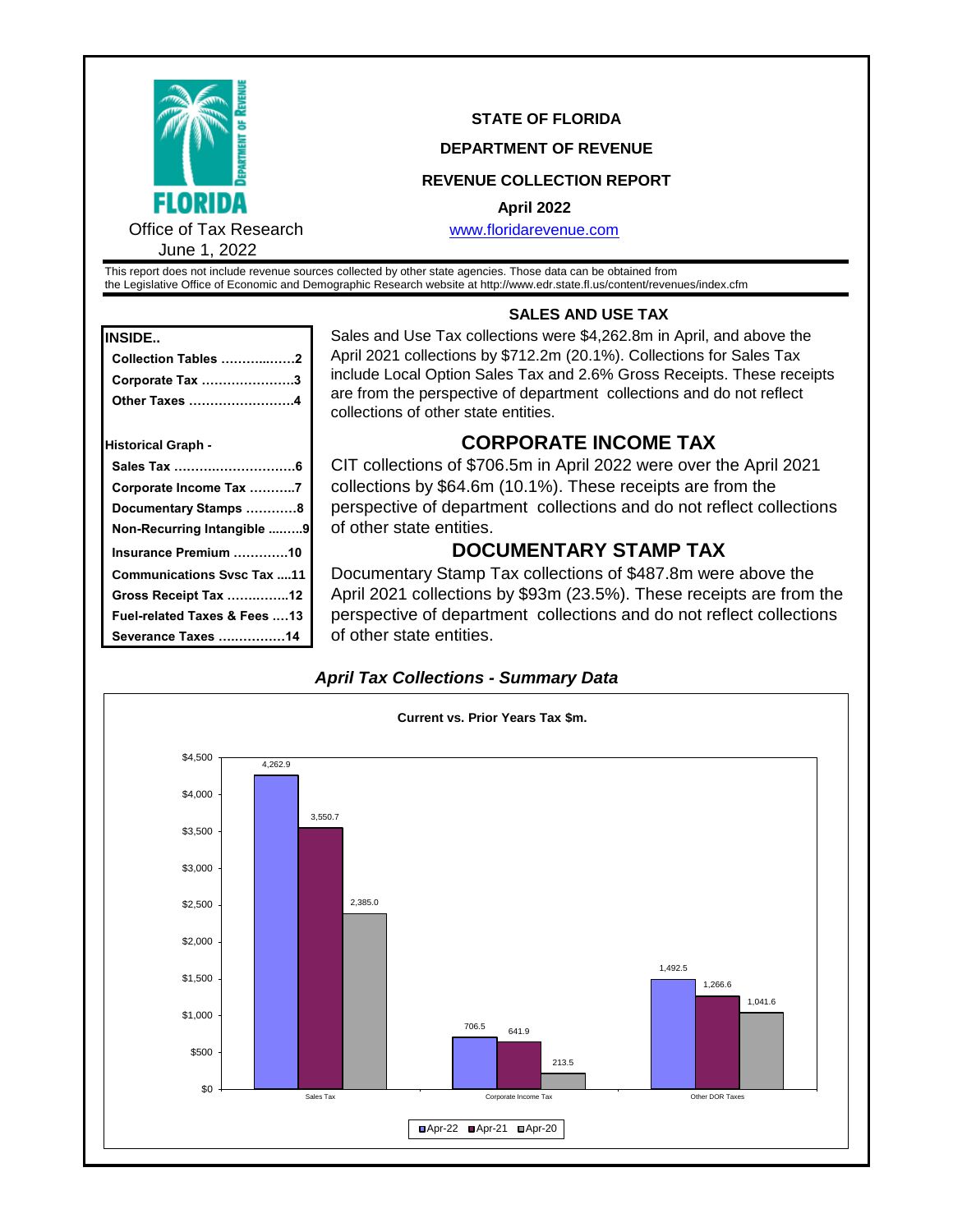

## **STATE OF FLORIDA**

### **DEPARTMENT OF REVENUE**

## **REVENUE COLLECTION REPORT**

#### **April 2022**

[www.floridar](http://www.floridarevenue.com/)evenue.com

This report does not include revenue sources collected by other state agencies. Those data can be obtained from the Legislative Office of Economic and Demographic Research website at http://www.edr.state.fl.us/content/revenues/index.cfm

| <b>INSIDE</b> |
|---------------|
|               |

| Collection Tables 2       |  |
|---------------------------|--|
|                           |  |
| Corporate Tax 3           |  |
| Other Taxes 4             |  |
| <b>Historical Graph -</b> |  |
|                           |  |
| Corporate Income Tax 7    |  |

 **Documentary Stamps …………8 Non-Recurring Intangible ....…..9**

 **Communications Svsc Tax ....11 Gross Receipt Tax …….……..12 Fuel-related Taxes & Fees .…13 Severance Taxes ….…………14**

## **SALES AND USE TAX**

Sales and Use Tax collections were \$4,262.8m in April, and above the April 2021 collections by \$712.2m (20.1%). Collections for Sales Tax include Local Option Sales Tax and 2.6% Gross Receipts. These receipts are from the perspective of department collections and do not reflect collections of other state entities.

## **Historical Graph - CORPORATE INCOME TAX**

CIT collections of \$706.5m in April 2022 were over the April 2021 collections by \$64.6m (10.1%). These receipts are from the perspective of department collections and do not reflect collections of other state entities.

# **Insurance Premium ………….10 DOCUMENTARY STAMP TAX**

Documentary Stamp Tax collections of \$487.8m were above the April 2021 collections by \$93m (23.5%). These receipts are from the perspective of department collections and do not reflect collections of other state entities.



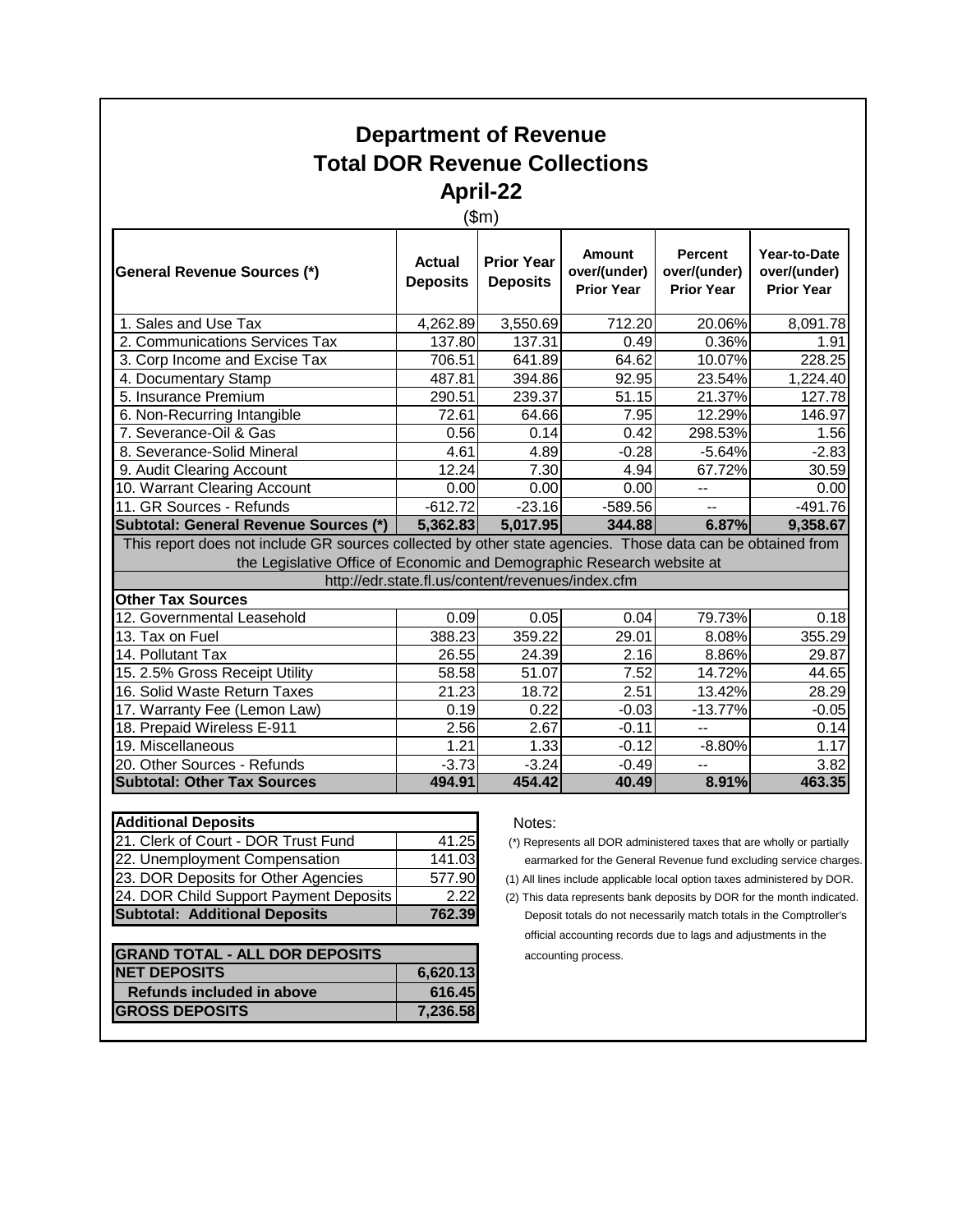# **Department of Revenue Total DOR Revenue Collections April-22**

# (\$m)

| General Revenue Sources (*)                                                                                                 | <b>Actual</b><br><b>Deposits</b> | <b>Prior Year</b><br><b>Deposits</b> | <b>Amount</b><br>over/(under)<br><b>Prior Year</b> | <b>Percent</b><br>over/(under)<br><b>Prior Year</b> | Year-to-Date<br>over/(under)<br><b>Prior Year</b> |  |  |  |
|-----------------------------------------------------------------------------------------------------------------------------|----------------------------------|--------------------------------------|----------------------------------------------------|-----------------------------------------------------|---------------------------------------------------|--|--|--|
| 1. Sales and Use Tax                                                                                                        | 4,262.89                         | 3,550.69                             | 712.20                                             | 20.06%                                              | 8,091.78                                          |  |  |  |
| 2. Communications Services Tax                                                                                              | 137.80                           | 137.31                               | 0.49                                               | 0.36%                                               | 1.91                                              |  |  |  |
| 3. Corp Income and Excise Tax                                                                                               | 706.51                           | 641.89                               | 64.62                                              | 10.07%                                              | 228.25                                            |  |  |  |
| 4. Documentary Stamp                                                                                                        | 487.81                           | 394.86                               | 92.95                                              | 23.54%                                              | 1,224.40                                          |  |  |  |
| 5. Insurance Premium                                                                                                        | 290.51                           | 239.37                               | 51.15                                              | 21.37%                                              | 127.78                                            |  |  |  |
| 6. Non-Recurring Intangible                                                                                                 | 72.61                            | 64.66                                | 7.95                                               | 12.29%                                              | 146.97                                            |  |  |  |
| 7. Severance-Oil & Gas                                                                                                      | 0.56                             | 0.14                                 | 0.42                                               | 298.53%                                             | 1.56                                              |  |  |  |
| 8. Severance-Solid Mineral                                                                                                  | 4.61                             | 4.89                                 | $-0.28$                                            | $-5.64%$                                            | $-2.83$                                           |  |  |  |
| 9. Audit Clearing Account                                                                                                   | 12.24                            | 7.30                                 | 4.94                                               | 67.72%                                              | 30.59                                             |  |  |  |
| 10. Warrant Clearing Account                                                                                                | 0.00                             | 0.00                                 | 0.00                                               | --                                                  | 0.00                                              |  |  |  |
| 11. GR Sources - Refunds                                                                                                    | $-612.72$                        | $-23.16$                             | $-589.56$                                          | $\overline{a}$                                      | $-491.76$                                         |  |  |  |
| <b>Subtotal: General Revenue Sources (*)</b>                                                                                | 5,362.83                         | 5,017.95                             | 344.88                                             | 6.87%                                               | 9,358.67                                          |  |  |  |
| This report does not include GR sources collected by other state agencies. Those data can be obtained from                  |                                  |                                      |                                                    |                                                     |                                                   |  |  |  |
| the Legislative Office of Economic and Demographic Research website at<br>http://edr.state.fl.us/content/revenues/index.cfm |                                  |                                      |                                                    |                                                     |                                                   |  |  |  |
| <b>Other Tax Sources</b>                                                                                                    |                                  |                                      |                                                    |                                                     |                                                   |  |  |  |
| 12. Governmental Leasehold                                                                                                  | 0.09                             | 0.05                                 | 0.04                                               | 79.73%                                              | 0.18                                              |  |  |  |
| 13. Tax on Fuel                                                                                                             | 388.23                           | 359.22                               | 29.01                                              | 8.08%                                               | 355.29                                            |  |  |  |
| 14. Pollutant Tax                                                                                                           | 26.55                            | 24.39                                | 2.16                                               | 8.86%                                               | 29.87                                             |  |  |  |
| 15. 2.5% Gross Receipt Utility                                                                                              | 58.58                            | 51.07                                | 7.52                                               | 14.72%                                              | 44.65                                             |  |  |  |
| 16. Solid Waste Return Taxes                                                                                                | 21.23                            | 18.72                                | 2.51                                               | 13.42%                                              | 28.29                                             |  |  |  |
| 17. Warranty Fee (Lemon Law)                                                                                                | 0.19                             | 0.22                                 | $-0.03$                                            | $-13.77%$                                           | $-0.05$                                           |  |  |  |
| 18. Prepaid Wireless E-911                                                                                                  | 2.56                             | 2.67                                 | $-0.11$                                            | $- -$                                               | 0.14                                              |  |  |  |
| 19. Miscellaneous                                                                                                           | 1.21                             | 1.33                                 | $-0.12$                                            | $-8.80%$                                            | 1.17                                              |  |  |  |
| 20. Other Sources - Refunds                                                                                                 | $-3.73$                          | $-3.24$                              | $-0.49$                                            | --                                                  | 3.82                                              |  |  |  |
| <b>Subtotal: Other Tax Sources</b>                                                                                          | 494.91                           | 454.42                               | 40.49                                              | 8.91%                                               | 463.35                                            |  |  |  |

| <b>Additional Deposits</b>             |        | Notes:          |
|----------------------------------------|--------|-----------------|
| 21. Clerk of Court - DOR Trust Fund    | 41.25  | (*) Repres      |
| 22. Unemployment Compensation          | 141.03 | earma           |
| 23. DOR Deposits for Other Agencies    | 577.90 | $(1)$ All lines |
| 24. DOR Child Support Payment Deposits | 2.22   | (2) This da     |
| <b>Subtotal: Additional Deposits</b>   | 762.39 | Depos           |

| <b>GRAND TOTAL - ALL DOR DEPOSITS</b> |          |
|---------------------------------------|----------|
| <b>NET DEPOSITS</b>                   | 6,620.13 |
| <b>Refunds included in above</b>      | 616.45   |
| <b>GROSS DEPOSITS</b>                 | 7,236.58 |

 $(*)$  Represents all DOR administered taxes that are wholly or partially earmarked for the General Revenue fund excluding service charges.

(1) All lines include applicable local option taxes administered by DOR.

(2) This data represents bank deposits by DOR for the month indicated. Deposit totals do not necessarily match totals in the Comptroller's official accounting records due to lags and adjustments in the accounting process.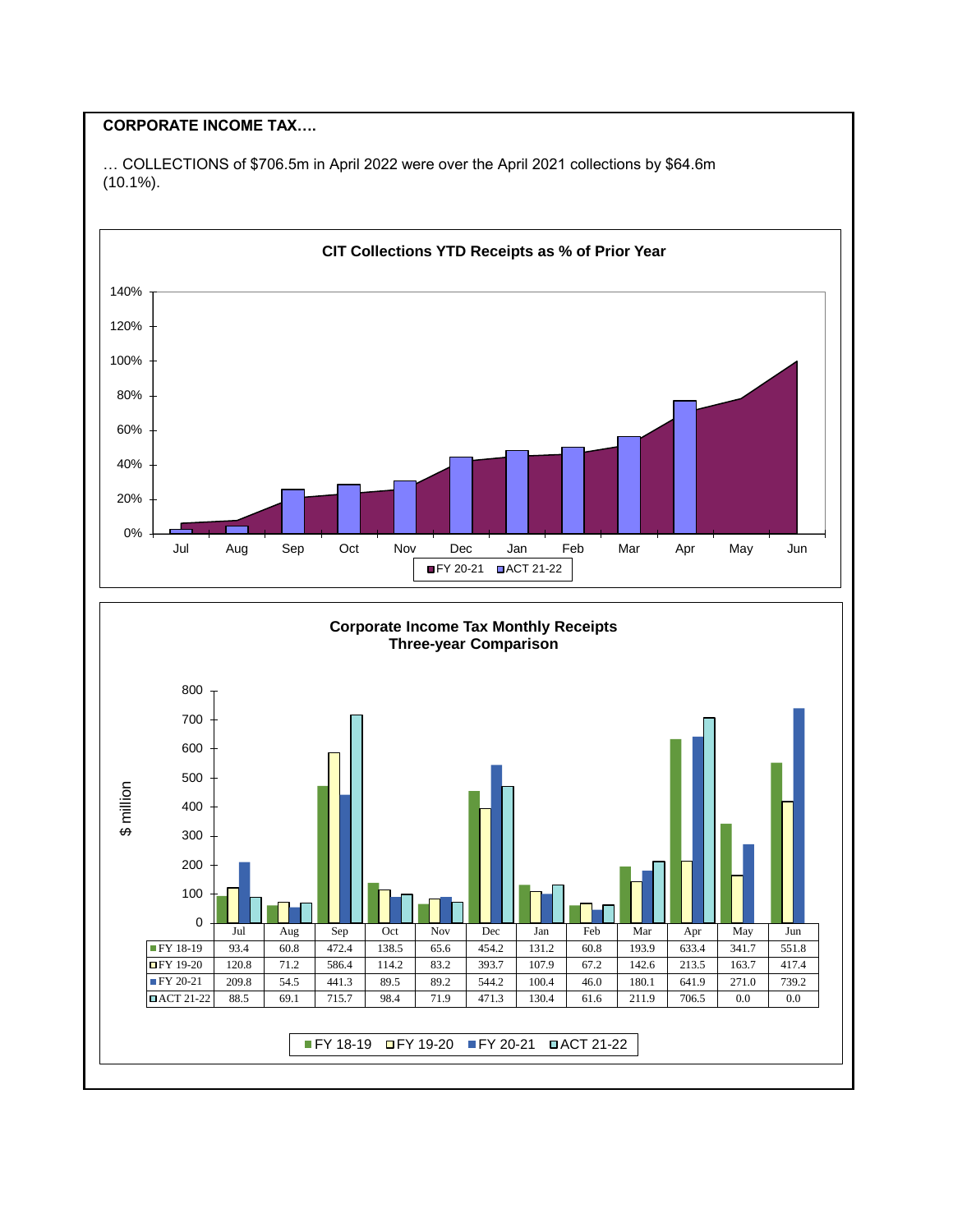## **CORPORATE INCOME TAX….**

… COLLECTIONS of \$706.5m in April 2022 were over the April 2021 collections by \$64.6m (10.1%).

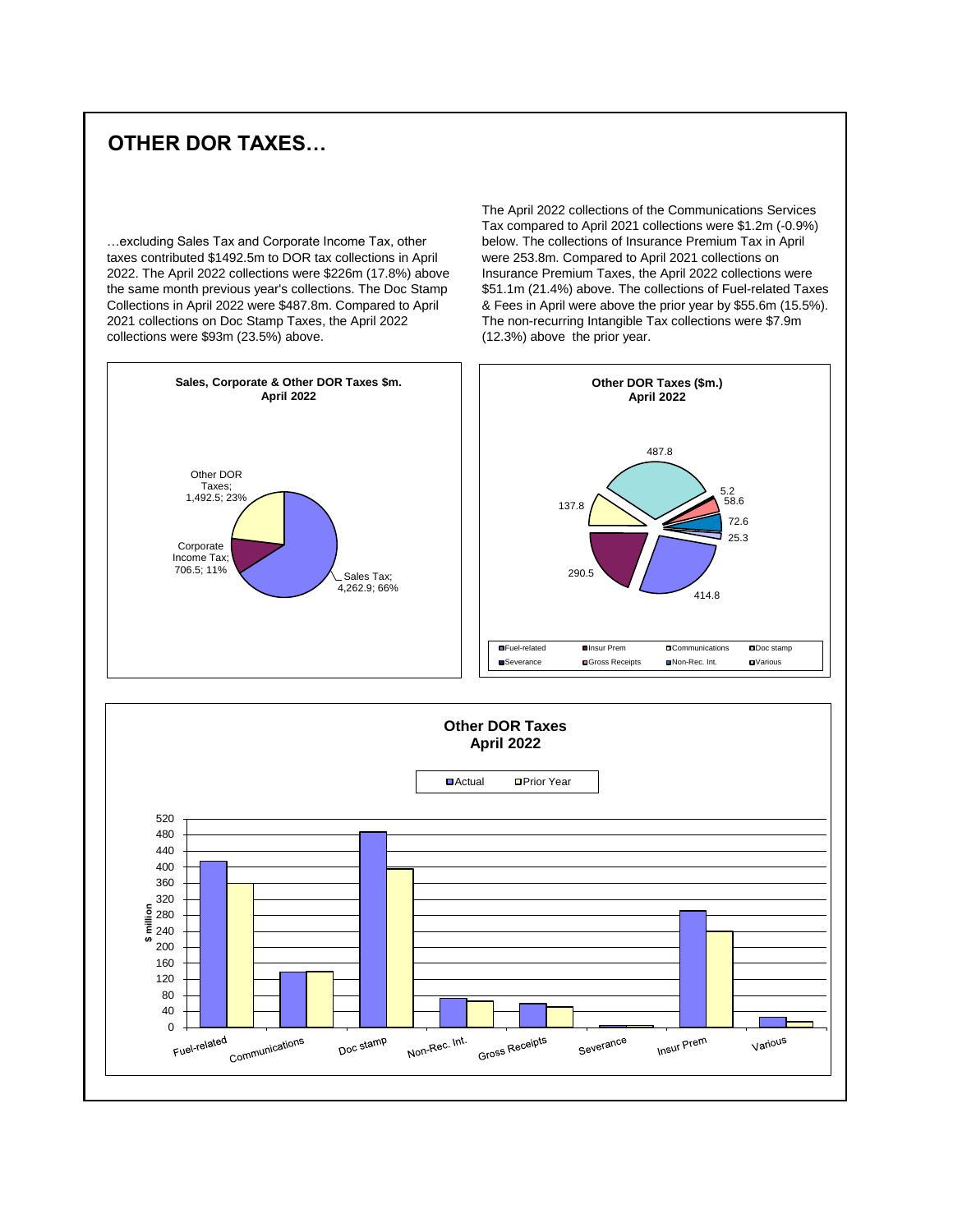# **OTHER DOR TAXES…**

…excluding Sales Tax and Corporate Income Tax, other taxes contributed \$1492.5m to DOR tax collections in April 2022. The April 2022 collections were \$226m (17.8%) above the same month previous year's collections. The Doc Stamp Collections in April 2022 were \$487.8m. Compared to April 2021 collections on Doc Stamp Taxes, the April 2022 collections were \$93m (23.5%) above.

The April 2022 collections of the Communications Services Tax compared to April 2021 collections were \$1.2m (-0.9%) below. The collections of Insurance Premium Tax in April were 253.8m. Compared to April 2021 collections on Insurance Premium Taxes, the April 2022 collections were \$51.1m (21.4%) above. The collections of Fuel-related Taxes & Fees in April were above the prior year by \$55.6m (15.5%). The non-recurring Intangible Tax collections were \$7.9m (12.3%) above the prior year.



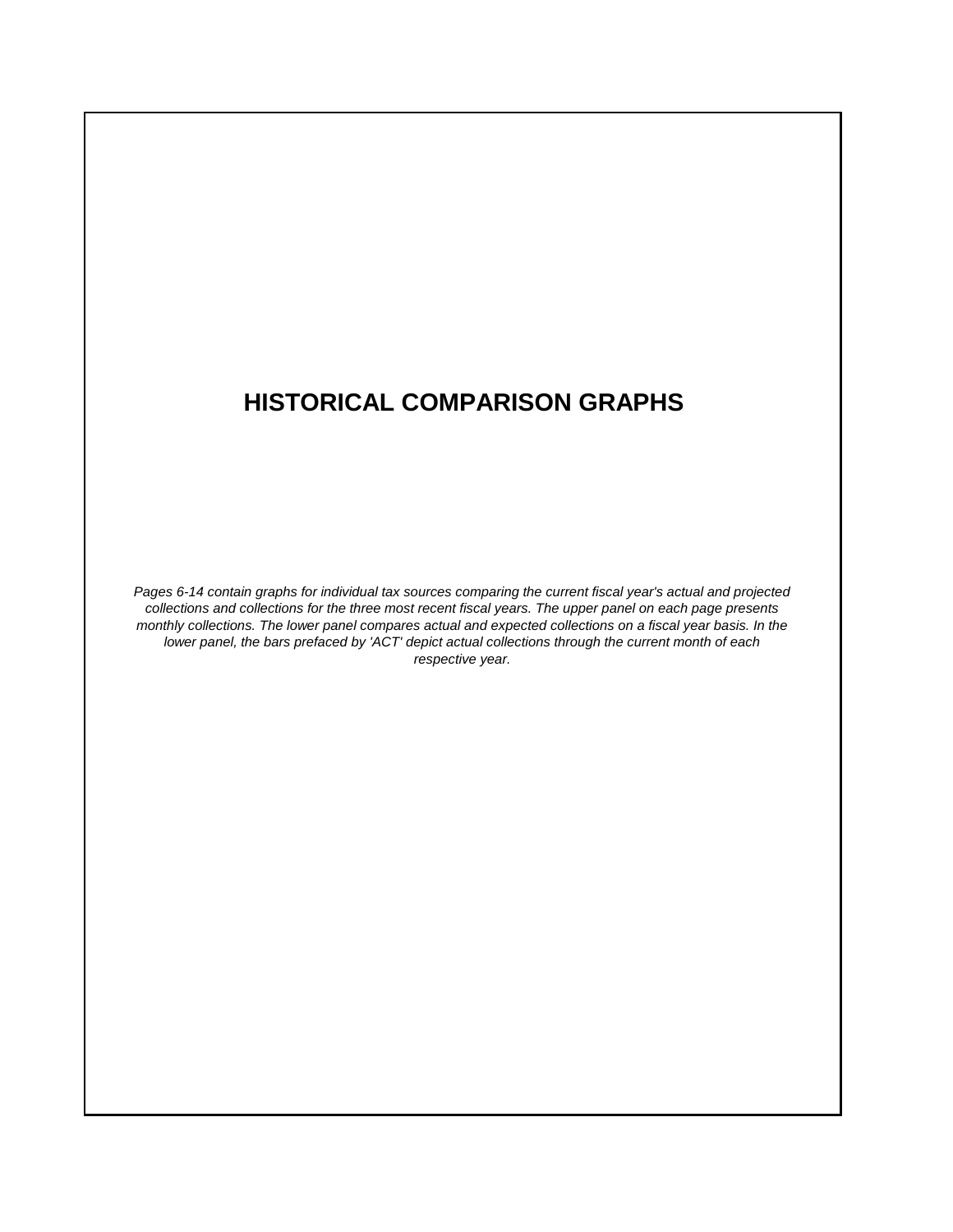# **HISTORICAL COMPARISON GRAPHS**

*Pages 6-14 contain graphs for individual tax sources comparing the current fiscal year's actual and projected collections and collections for the three most recent fiscal years. The upper panel on each page presents monthly collections. The lower panel compares actual and expected collections on a fiscal year basis. In the lower panel, the bars prefaced by 'ACT' depict actual collections through the current month of each respective year.*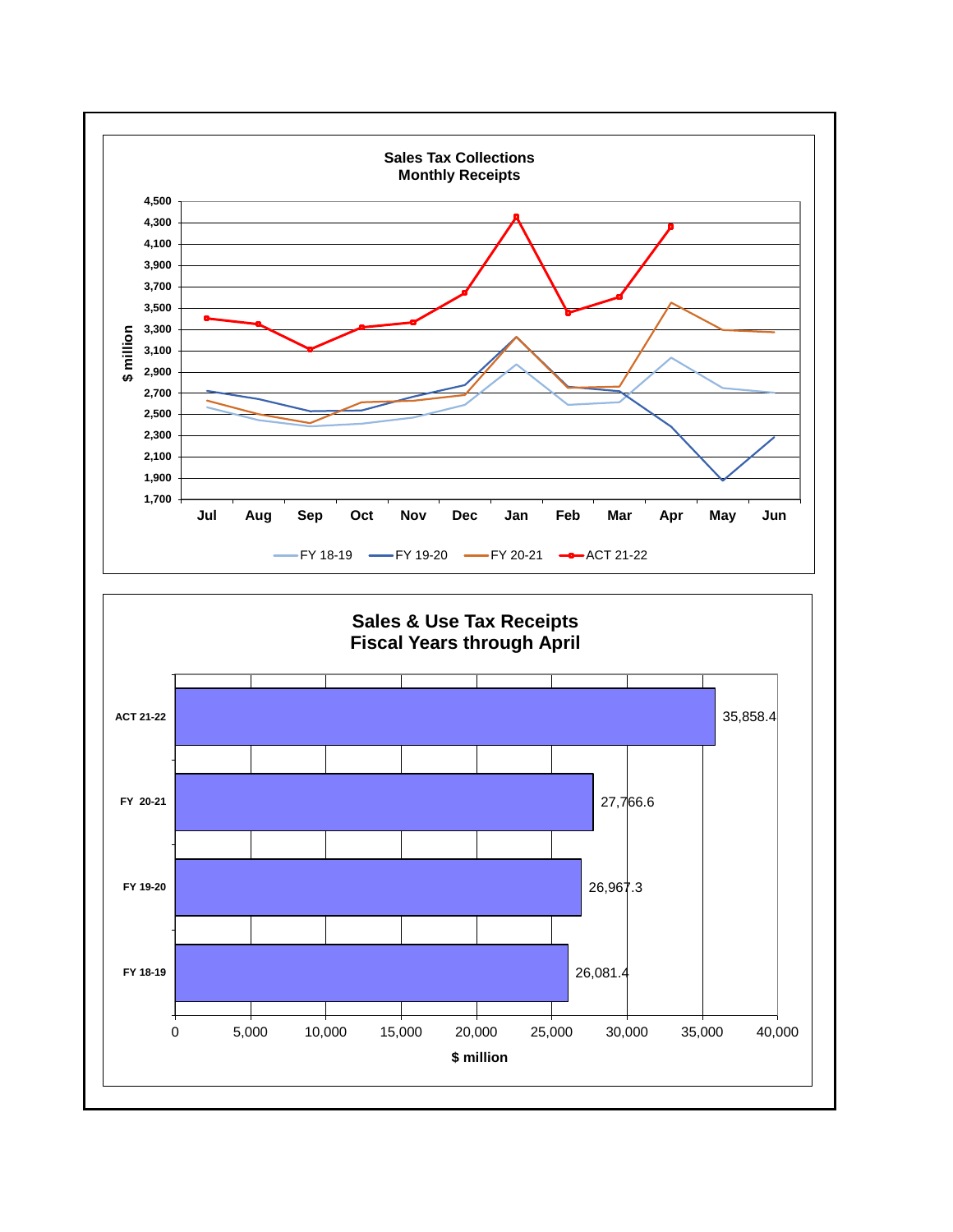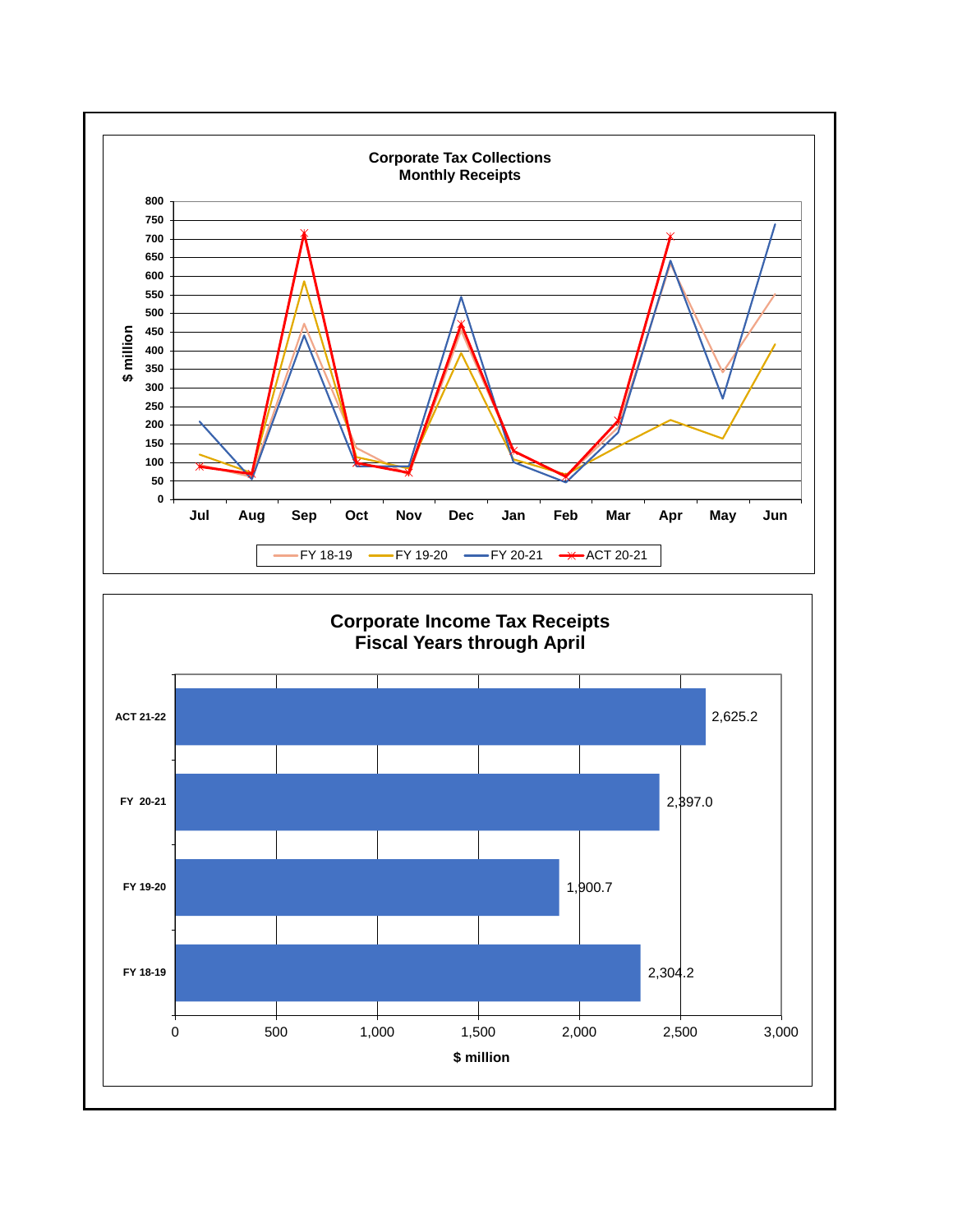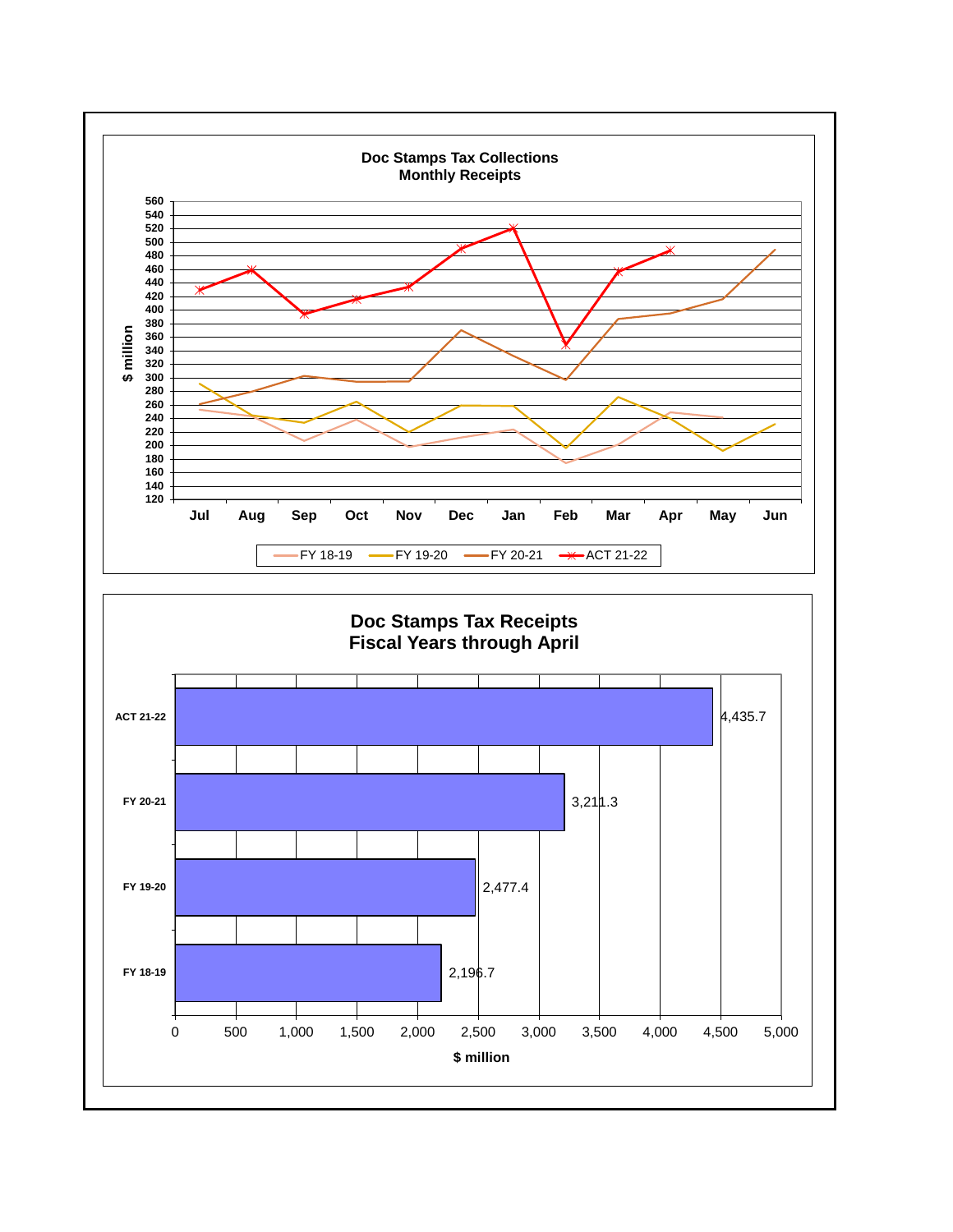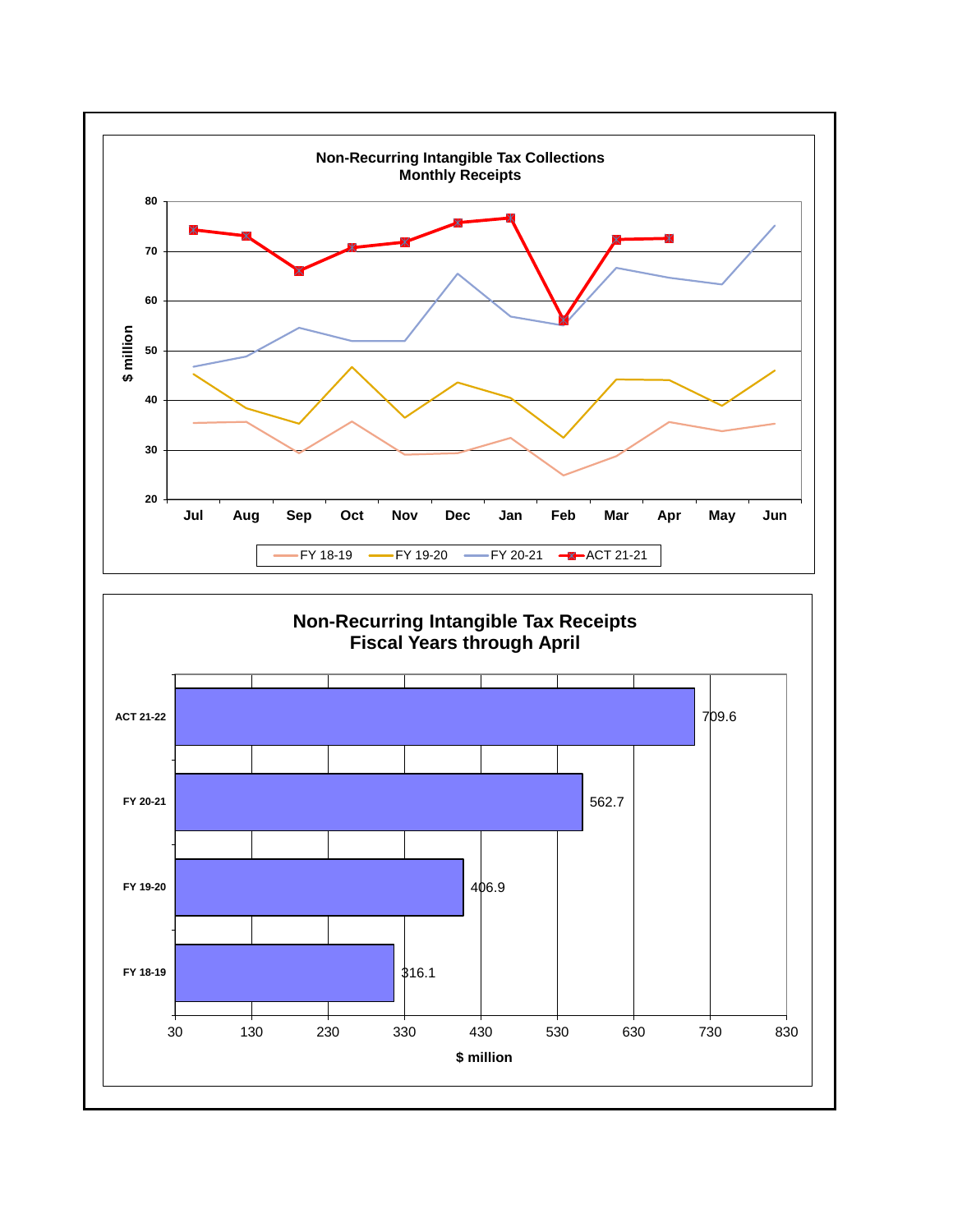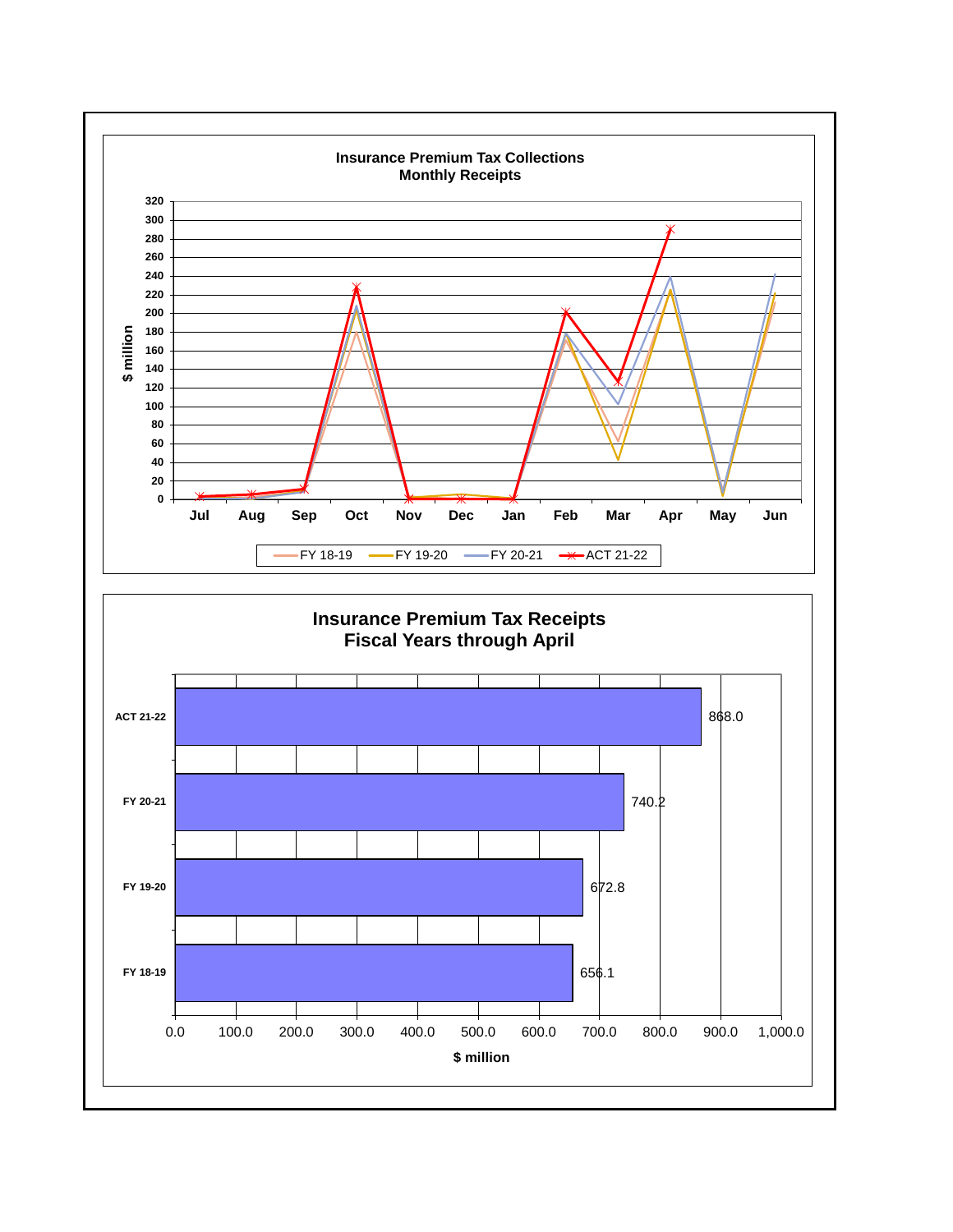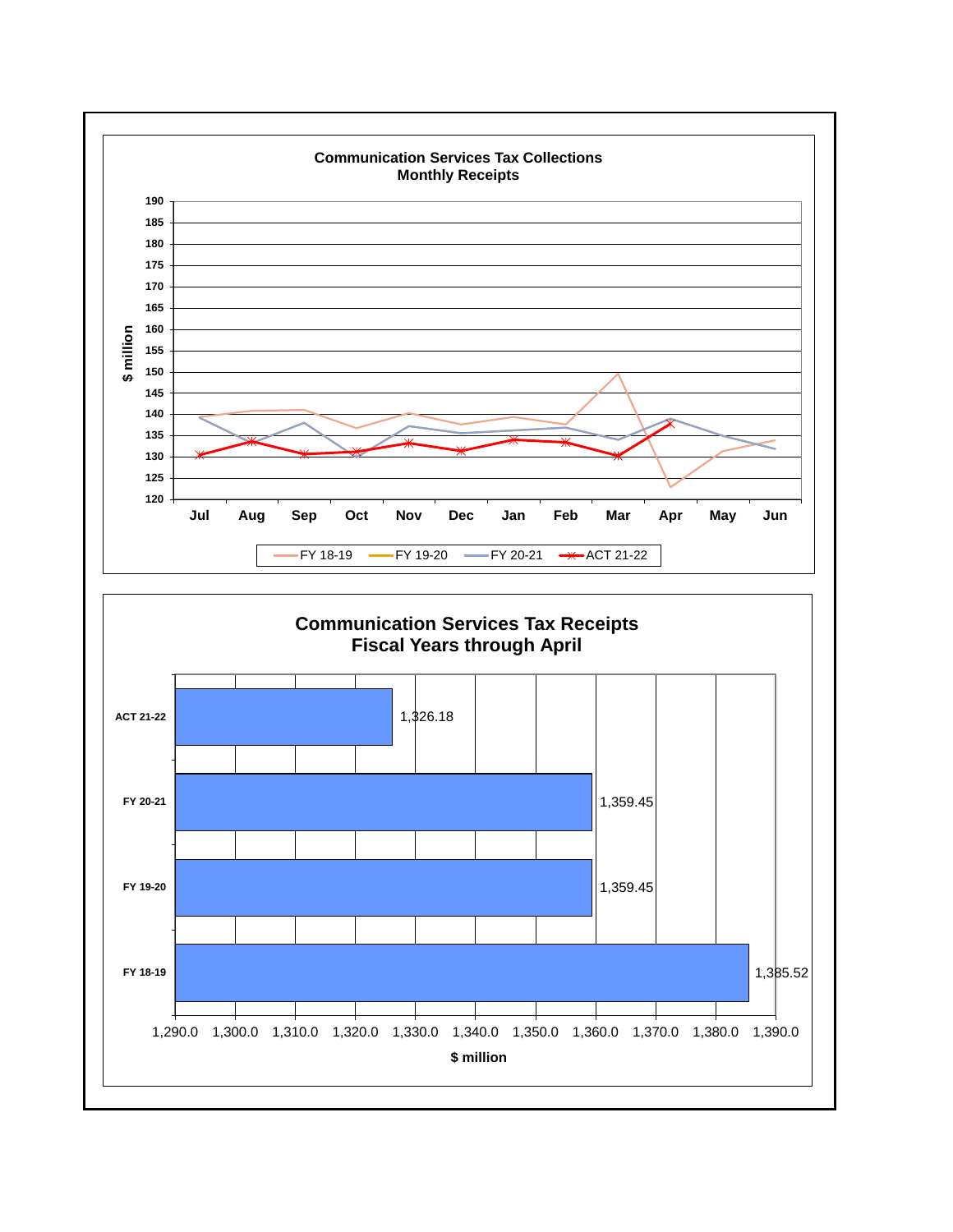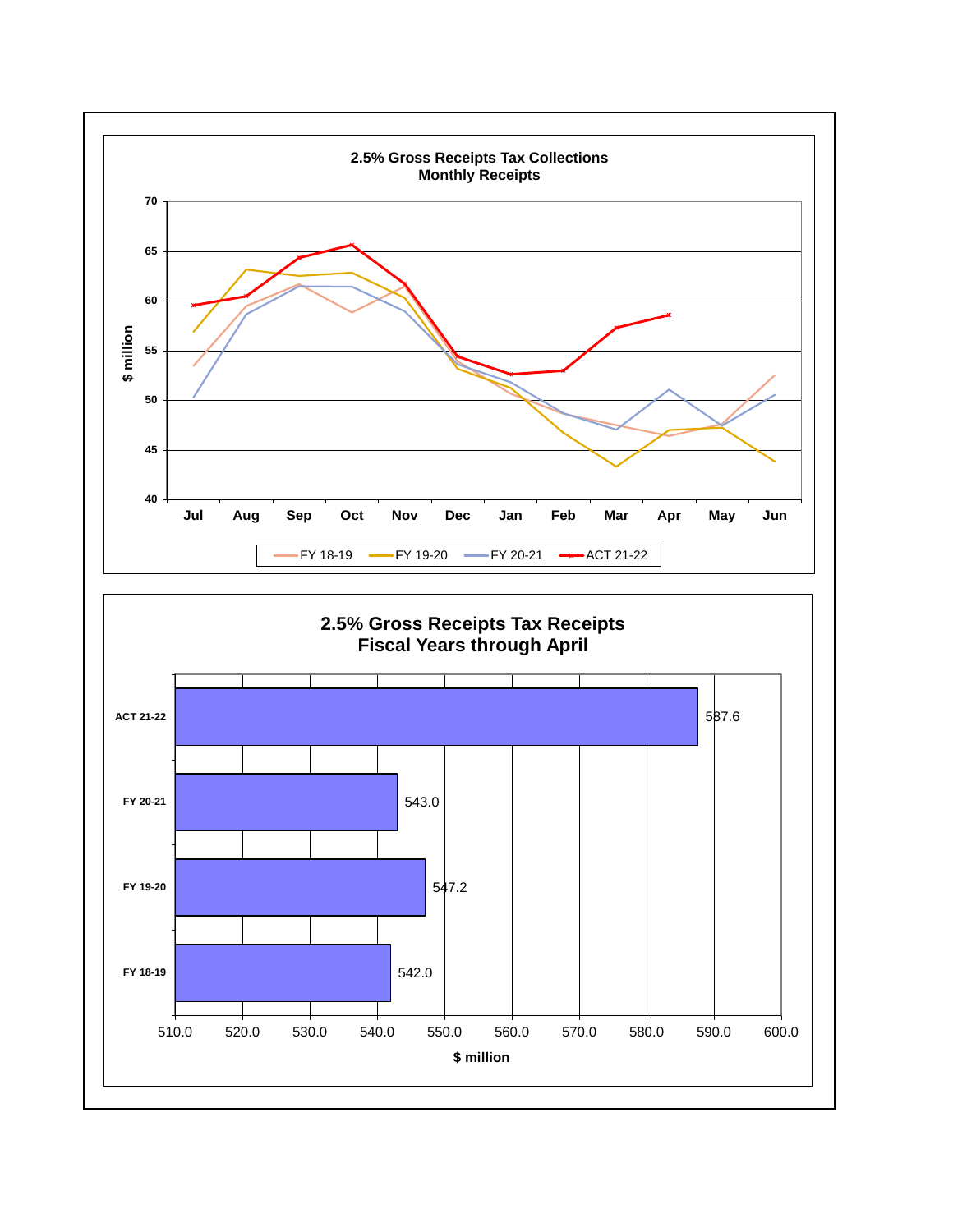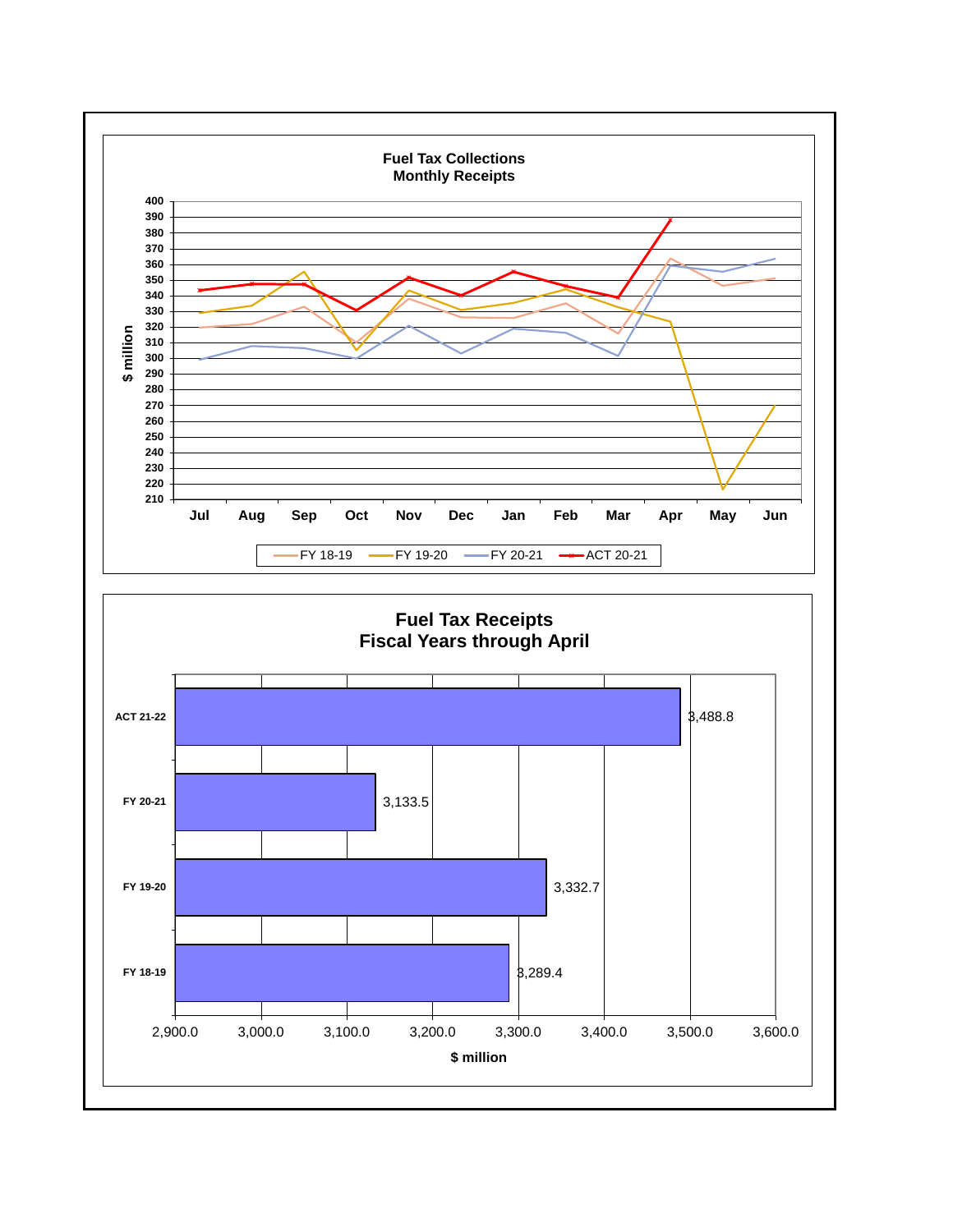